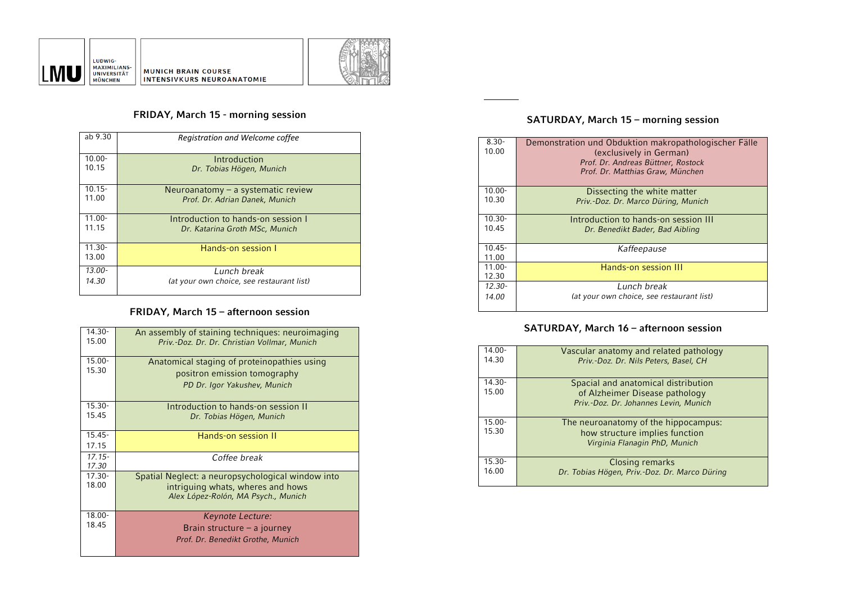



# **FRIDAY, March 15 - morning session**

| ab 9.30   | Registration and Welcome coffee           |
|-----------|-------------------------------------------|
| $10.00 -$ | Introduction                              |
| 10.15     | Dr. Tobias Högen, Munich                  |
| $10.15 -$ | Neuroanatomy $-$ a systematic review      |
| 11.00     | Prof. Dr. Adrian Danek, Munich            |
| $11.00 -$ | Introduction to hands-on session I        |
| 11.15     | Dr. Katarina Groth MSc, Munich            |
| $11.30 -$ | Hands-on session I                        |
| 13.00     |                                           |
| $13.00 -$ | Lunch break                               |
| 14.30     | (at your own choice, see restaurant list) |
|           |                                           |

# **FRIDAY, March 15 – afternoon session**

| 14.30-<br>15.00    | An assembly of staining techniques: neuroimaging<br>Priv.-Doz. Dr. Dr. Christian Vollmar, Munich |
|--------------------|--------------------------------------------------------------------------------------------------|
| $15.00 -$<br>15.30 | Anatomical staging of proteinopathies using                                                      |
|                    | positron emission tomography                                                                     |
|                    | PD Dr. Igor Yakushev, Munich                                                                     |
| $15.30 -$          | Introduction to hands-on session II                                                              |
| 15.45              | Dr. Tobias Högen, Munich                                                                         |
| $15.45 -$          | Hands-on session II                                                                              |
| 17.15              |                                                                                                  |
| $17.15 -$          | Coffee break                                                                                     |
| 17.30              |                                                                                                  |
| $17.30 -$          | Spatial Neglect: a neuropsychological window into                                                |
| 18.00              | intriguing whats, wheres and hows                                                                |
|                    | Alex López-Rolón, MA Psych., Munich                                                              |
| $18.00 -$          | Keynote Lecture:                                                                                 |
| 1845               | Brain structure $-$ a journey                                                                    |
|                    | Prof. Dr. Benedikt Grothe, Munich                                                                |
|                    |                                                                                                  |

# **SATURDAY, March 15 – morning session**

| $8.30 -$<br>10.00  | Demonstration und Obduktion makropathologischer Fälle<br>(exclusively in German)<br>Prof. Dr. Andreas Büttner. Rostock<br>Prof. Dr. Matthias Graw, München |
|--------------------|------------------------------------------------------------------------------------------------------------------------------------------------------------|
| 10.00-             | Dissecting the white matter                                                                                                                                |
| 10.30              | Priv.-Doz. Dr. Marco Düring, Munich                                                                                                                        |
| 10.30-             | Introduction to hands-on session III                                                                                                                       |
| 10.45              | Dr. Benedikt Bader, Bad Aibling                                                                                                                            |
| $10.45 -$<br>11.00 | Kaffeepause                                                                                                                                                |
| 11.00-<br>12.30    | Hands-on session III                                                                                                                                       |
| $12.30 -$          | Lunch break                                                                                                                                                |
| 14.00              | (at your own choice, see restaurant list)                                                                                                                  |

# **SATURDAY, March 16 – afternoon session**

| 14.00-<br>14.30    | Vascular anatomy and related pathology<br>Priv.-Doz. Dr. Nils Peters, Basel, CH                                |
|--------------------|----------------------------------------------------------------------------------------------------------------|
| $14.30 -$<br>15.00 | Spacial and anatomical distribution<br>of Alzheimer Disease pathology<br>Priv.-Doz. Dr. Johannes Levin, Munich |
| $15.00 -$<br>15.30 | The neuroanatomy of the hippocampus:<br>how structure implies function<br>Virginia Flanagin PhD, Munich        |
| $15.30 -$<br>16.00 | Closing remarks<br>Dr. Tobias Högen, Priv.-Doz. Dr. Marco Düring                                               |